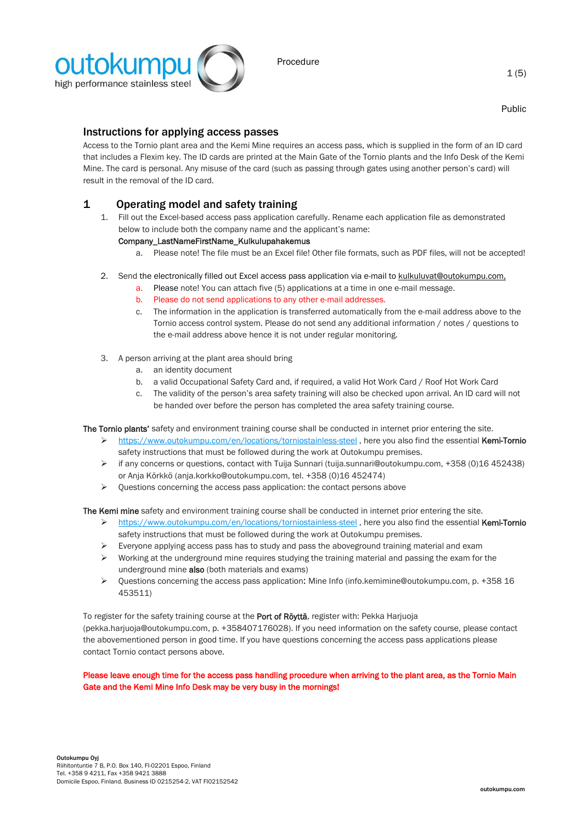

Public

# Instructions for applying access passes

Access to the Tornio plant area and the Kemi Mine requires an access pass, which is supplied in the form of an ID card that includes a Flexim key. The ID cards are printed at the Main Gate of the Tornio plants and the Info Desk of the Kemi Mine. The card is personal. Any misuse of the card (such as passing through gates using another person's card) will result in the removal of the ID card.

# 1 Operating model and safety training

1. Fill out the Excel-based access pass application carefully. Rename each application file as demonstrated below to include both the company name and the applicant's name:

## Company\_LastNameFirstName\_Kulkulupahakemus

- a. Please note! The file must be an Excel file! Other file formats, such as PDF files, will not be accepted!
- 2. Send the electronically filled out Excel access pass application via e-mail t[o kulkuluvat@outokumpu.com,](mailto:kulkuluvat@outokumpu.com)
	- a. Please note! You can attach five (5) applications at a time in one e-mail message.
	- b. Please do not send applications to any other e-mail addresses.
	- c. The information in the application is transferred automatically from the e-mail address above to the Tornio access control system. Please do not send any additional information / notes / questions to the e-mail address above hence it is not under regular monitoring.
- 3. A person arriving at the plant area should bring
	- a. an identity document
	- b. a valid Occupational Safety Card and, if required, a valid Hot Work Card / Roof Hot Work Card
	- c. The validity of the person's area safety training will also be checked upon arrival. An ID card will not be handed over before the person has completed the area safety training course.

The Tornio plants' safety and environment training course shall be conducted in internet prior entering the site.

- ➢ <https://www.outokumpu.com/en/locations/torniostainless-steel> , here you also find the essential Kemi-Tornio safety instructions that must be followed during the work at Outokumpu premises.
- ➢ if any concerns or questions, contact with Tuija Sunnari (tuija.sunnari@outokumpu.com, +358 (0)16 452438) or Anja Körkkö (anja.korkko@outokumpu.com, tel. +358 (0)16 452474)
- $\triangleright$  Questions concerning the access pass application: the contact persons above

The Kemi mine safety and environment training course shall be conducted in internet prior entering the site.

- ➢ <https://www.outokumpu.com/en/locations/torniostainless-steel> , here you also find the essential Kemi-Tornio safety instructions that must be followed during the work at Outokumpu premises.
- $\triangleright$  Everyone applying access pass has to study and pass the aboveground training material and exam
- $\triangleright$  Working at the underground mine requires studying the training material and passing the exam for the underground mine also (both materials and exams)
- ➢ Questions concerning the access pass application: Mine Info (info.kemimine@outokumpu.com, p. +358 16 453511)

To register for the safety training course at the Port of Röyttä, register with: Pekka Harjuoja (pekka.harjuoja@outokumpu.com, p. +358407176028). If you need information on the safety course, please contact the abovementioned person in good time. If you have questions concerning the access pass applications please contact Tornio contact persons above.

Please leave enough time for the access pass handling procedure when arriving to the plant area, as the Tornio Main Gate and the Kemi Mine Info Desk may be very busy in the mornings!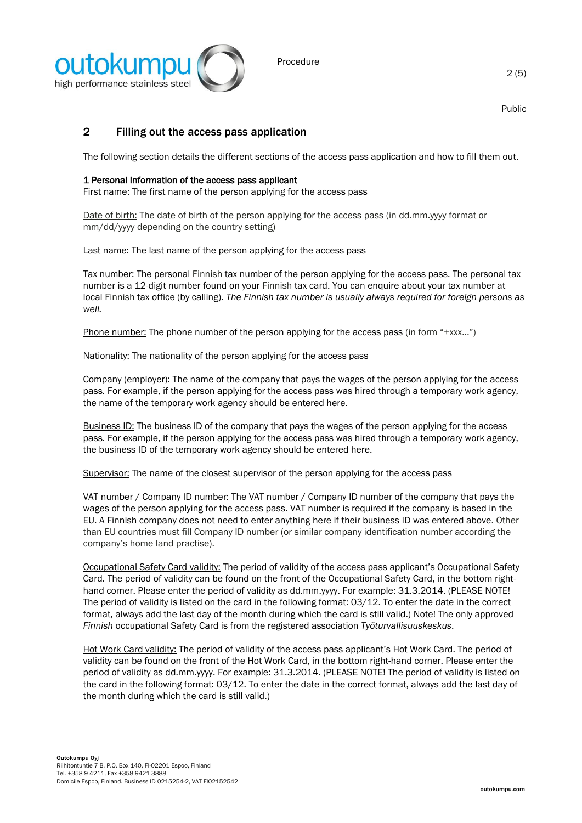

Public

# 2 Filling out the access pass application

The following section details the different sections of the access pass application and how to fill them out.

## 1 Personal information of the access pass applicant

First name: The first name of the person applying for the access pass

Date of birth: The date of birth of the person applying for the access pass (in dd.mm.yyyy format or mm/dd/yyyy depending on the country setting)

Last name: The last name of the person applying for the access pass

Tax number: The personal Finnish tax number of the person applying for the access pass. The personal tax number is a 12-digit number found on your Finnish tax card. You can enquire about your tax number at local Finnish tax office (by calling). *The Finnish tax number is usually always required for foreign persons as well.*

Phone number: The phone number of the person applying for the access pass (in form "+xxx...")

Nationality: The nationality of the person applying for the access pass

Company (employer): The name of the company that pays the wages of the person applying for the access pass. For example, if the person applying for the access pass was hired through a temporary work agency, the name of the temporary work agency should be entered here.

Business ID: The business ID of the company that pays the wages of the person applying for the access pass. For example, if the person applying for the access pass was hired through a temporary work agency, the business ID of the temporary work agency should be entered here.

Supervisor: The name of the closest supervisor of the person applying for the access pass

VAT number / Company ID number: The VAT number / Company ID number of the company that pays the wages of the person applying for the access pass. VAT number is required if the company is based in the EU. A Finnish company does not need to enter anything here if their business ID was entered above. Other than EU countries must fill Company ID number (or similar company identification number according the company's home land practise).

Occupational Safety Card validity: The period of validity of the access pass applicant's Occupational Safety Card. The period of validity can be found on the front of the Occupational Safety Card, in the bottom righthand corner. Please enter the period of validity as dd.mm.yyyy. For example: 31.3.2014. (PLEASE NOTE! The period of validity is listed on the card in the following format: 03/12. To enter the date in the correct format, always add the last day of the month during which the card is still valid.) Note! The only approved *Finnish* occupational Safety Card is from the registered association *Työturvallisuuskeskus*.

Hot Work Card validity: The period of validity of the access pass applicant's Hot Work Card. The period of validity can be found on the front of the Hot Work Card, in the bottom right-hand corner. Please enter the period of validity as dd.mm.yyyy. For example: 31.3.2014. (PLEASE NOTE! The period of validity is listed on the card in the following format: 03/12. To enter the date in the correct format, always add the last day of the month during which the card is still valid.)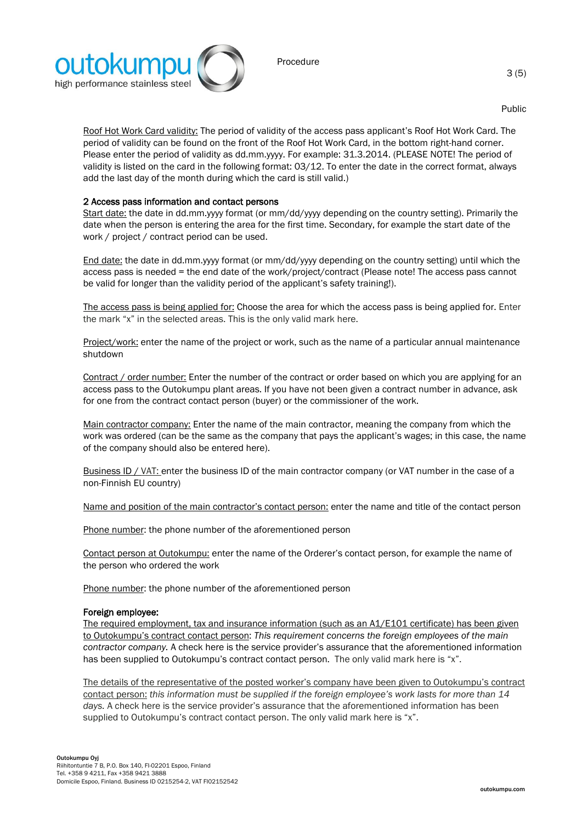

Public

Roof Hot Work Card validity: The period of validity of the access pass applicant's Roof Hot Work Card. The period of validity can be found on the front of the Roof Hot Work Card, in the bottom right-hand corner. Please enter the period of validity as dd.mm.yyyy. For example: 31.3.2014. (PLEASE NOTE! The period of validity is listed on the card in the following format: 03/12. To enter the date in the correct format, always add the last day of the month during which the card is still valid.)

## 2 Access pass information and contact persons

Start date: the date in dd.mm.yyyy format (or mm/dd/yyyy depending on the country setting). Primarily the date when the person is entering the area for the first time. Secondary, for example the start date of the work / project / contract period can be used.

End date: the date in dd.mm.yyyy format (or mm/dd/yyyy depending on the country setting) until which the access pass is needed = the end date of the work/project/contract (Please note! The access pass cannot be valid for longer than the validity period of the applicant's safety training!).

The access pass is being applied for: Choose the area for which the access pass is being applied for. Enter the mark "x" in the selected areas. This is the only valid mark here.

Project/work: enter the name of the project or work, such as the name of a particular annual maintenance shutdown

Contract / order number: Enter the number of the contract or order based on which you are applying for an access pass to the Outokumpu plant areas. If you have not been given a contract number in advance, ask for one from the contract contact person (buyer) or the commissioner of the work.

Main contractor company: Enter the name of the main contractor, meaning the company from which the work was ordered (can be the same as the company that pays the applicant's wages; in this case, the name of the company should also be entered here).

Business ID / VAT: enter the business ID of the main contractor company (or VAT number in the case of a non-Finnish EU country)

Name and position of the main contractor's contact person: enter the name and title of the contact person

Phone number: the phone number of the aforementioned person

Contact person at Outokumpu: enter the name of the Orderer's contact person, for example the name of the person who ordered the work

Phone number: the phone number of the aforementioned person

### Foreign employee:

The required employment, tax and insurance information (such as an A1/E101 certificate) has been given to Outokumpu's contract contact person: *This requirement concerns the foreign employees of the main contractor company.* A check here is the service provider's assurance that the aforementioned information has been supplied to Outokumpu's contract contact person. The only valid mark here is "x".

The details of the representative of the posted worker's company have been given to Outokumpu's contract contact person: *this information must be supplied if the foreign employee's work lasts for more than 14 days.* A check here is the service provider's assurance that the aforementioned information has been supplied to Outokumpu's contract contact person. The only valid mark here is "x".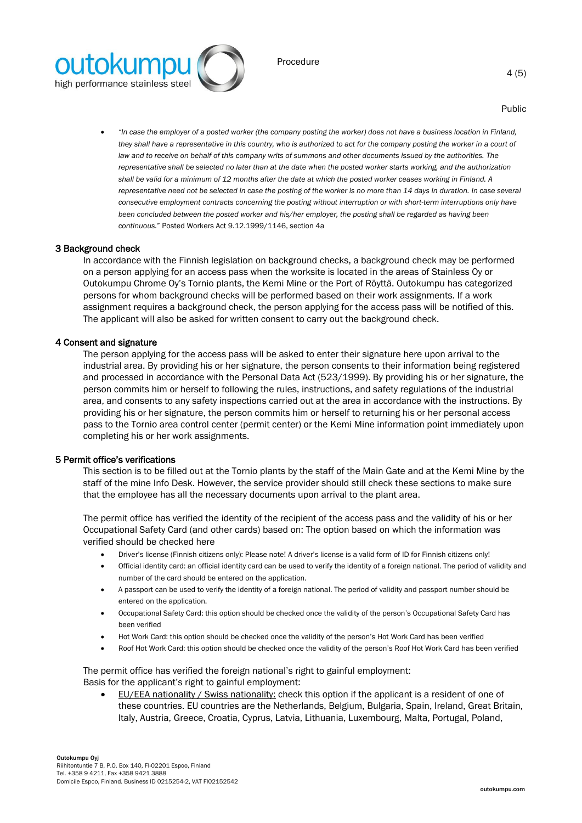

Public

• *"In case the employer of a posted worker (the company posting the worker) does not have a business location in Finland,*  they shall have a representative in this country, who is authorized to act for the company posting the worker in a court of *law and to receive on behalf of this company writs of summons and other documents issued by the authorities. The representative shall be selected no later than at the date when the posted worker starts working, and the authorization shall be valid for a minimum of 12 months after the date at which the posted worker ceases working in Finland. A representative need not be selected in case the posting of the worker is no more than 14 days in duration. In case several consecutive employment contracts concerning the posting without interruption or with short-term interruptions only have been concluded between the posted worker and his/her employer, the posting shall be regarded as having been continuous.*" Posted Workers Act 9.12.1999/1146, section 4a

#### 3 Background check

In accordance with the Finnish legislation on background checks, a background check may be performed on a person applying for an access pass when the worksite is located in the areas of Stainless Oy or Outokumpu Chrome Oy's Tornio plants, the Kemi Mine or the Port of Röyttä. Outokumpu has categorized persons for whom background checks will be performed based on their work assignments. If a work assignment requires a background check, the person applying for the access pass will be notified of this. The applicant will also be asked for written consent to carry out the background check.

#### 4 Consent and signature

The person applying for the access pass will be asked to enter their signature here upon arrival to the industrial area. By providing his or her signature, the person consents to their information being registered and processed in accordance with the Personal Data Act (523/1999). By providing his or her signature, the person commits him or herself to following the rules, instructions, and safety regulations of the industrial area, and consents to any safety inspections carried out at the area in accordance with the instructions. By providing his or her signature, the person commits him or herself to returning his or her personal access pass to the Tornio area control center (permit center) or the Kemi Mine information point immediately upon completing his or her work assignments.

#### 5 Permit office's verifications

This section is to be filled out at the Tornio plants by the staff of the Main Gate and at the Kemi Mine by the staff of the mine Info Desk. However, the service provider should still check these sections to make sure that the employee has all the necessary documents upon arrival to the plant area.

The permit office has verified the identity of the recipient of the access pass and the validity of his or her Occupational Safety Card (and other cards) based on: The option based on which the information was verified should be checked here

- Driver's license (Finnish citizens only): Please note! A driver's license is a valid form of ID for Finnish citizens only!
- Official identity card: an official identity card can be used to verify the identity of a foreign national. The period of validity and number of the card should be entered on the application.
- A passport can be used to verify the identity of a foreign national. The period of validity and passport number should be entered on the application.
- Occupational Safety Card: this option should be checked once the validity of the person's Occupational Safety Card has been verified
- Hot Work Card: this option should be checked once the validity of the person's Hot Work Card has been verified
- Roof Hot Work Card: this option should be checked once the validity of the person's Roof Hot Work Card has been verified

The permit office has verified the foreign national's right to gainful employment: Basis for the applicant's right to gainful employment:

• EU/EEA nationality / Swiss nationality: check this option if the applicant is a resident of one of these countries. EU countries are the Netherlands, Belgium, Bulgaria, Spain, Ireland, Great Britain, Italy, Austria, Greece, Croatia, Cyprus, Latvia, Lithuania, Luxembourg, Malta, Portugal, Poland,